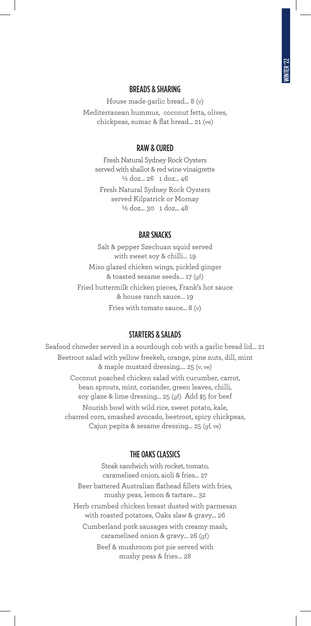### BREADS & SHARING

House made garlic bread… 8 (v) Mediterranean hummus, coconut fetta, olives, chickpeas, sumac & flat bread… 21 (ve)

### RAW & CURED

Fresh Natural Sydney Rock Oysters served with shallot & red wine vinaigrette ½ doz... 26 1 doz... 46 Fresh Natural Sydney Rock Oysters served Kilpatrick or Mornay ½ doz... 30 1 doz... 48

### BAR SNACKS

Salt & pepper Szechuan squid served with sweet soy & chilli… 19 Miso glazed chicken wings, pickled ginger & toasted sesame seeds… 17 (gf) Fried buttermilk chicken pieces, Frank's hot sauce & house ranch sauce… 19 Fries with tomato sauce... 8 (v)

### STARTERS & SALADS

Seafood chowder served in a sourdough cob with a garlic bread lid… 21 Beetroot salad with yellow freekeh, orange, pine nuts, dill, mint & maple mustard dressing.… 25 (v, ve) Coconut poached chicken salad with cucumber, carrot, bean sprouts, mint, coriander, green leaves, chilli, soy glaze & lime dressing… 25 (gf) Add \$5 for beef Nourish bowl with wild rice, sweet potato, kale, charred corn, smashed avocado, beetroot, spicy chickpeas,

Cajun pepita & sesame dressing… 25 (gf, ve)

### THE OAKS CLASSICS

Steak sandwich with rocket, tomato, caramelised onion, aioli & fries… 27 Beer battered Australian flathead fillets with fries, mushy peas, lemon & tartare… 32 Herb crumbed chicken breast dusted with parmesan with roasted potatoes, Oaks slaw & gravy… 26 Cumberland pork sausages with creamy mash, caramelised onion & gravy… 26 (gf) Beef & mushroom pot pie served with mushy peas & fries… 28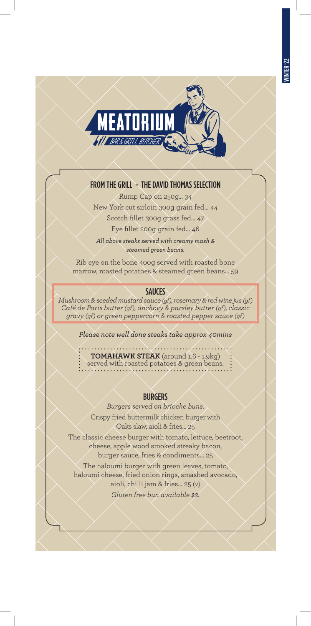

# FROM THE GRILL - THE DAVID THOMAS SELECTION

Rump Cap on 250g… 34 New York cut sirloin 300g grain fed… 44 Scotch fillet 300g grass fed… 47 Eye fillet 200g grain fed… 46

*All above steaks served with creamy mash & steamed green beans.*

Rib eye on the bone 400g served with roasted bone marrow, roasted potatoes & steamed green beans… 59

## **SAUCES**

*Mushroom & seeded mustard sauce (gf), rosemary & red wine jus (gf) Café de Paris butter (gf), anchovy & parsley butter (gf), classic gravy (gf) or green peppercorn & roasted pepper sauce (gf)*

*Please note well done steaks take approx 40mins*

. . . . . . . . *.* . . . **TOMAHAWK STEAK** (around 1.6 - 1.9kg) served with roasted potatoes & green beans.

## BURGERS

*Burgers served on brioche buns.*

Crispy fried buttermilk chicken burger with Oaks slaw, aioli & fries… 25

The classic cheese burger with tomato, lettuce, beetroot, cheese, apple wood smoked streaky bacon, burger sauce, fries & condiments… 25

The haloumi burger with green leaves, tomato, haloumi cheese, fried onion rings, smashed avocado, aioli, chilli jam & fries… 25 (v)

*Gluten free bun available \$2.*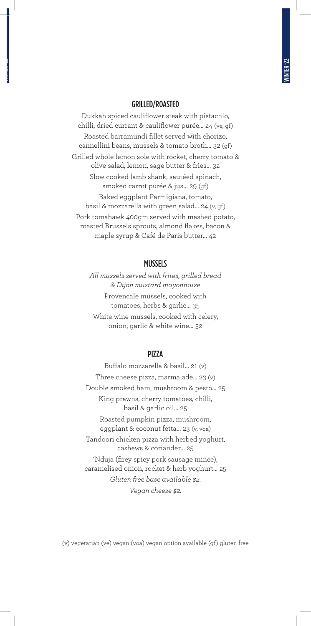#### GRILLED/ROASTED

Dukkah spiced cauliflower steak with pistachio, chilli, dried currant & cauliflower purée… 24 (ve, gf) Roasted barramundi fillet served with chorizo, cannellini beans, mussels & tomato broth… 32 (gf) Grilled whole lemon sole with rocket, cherry tomato & olive salad, lemon, sage butter & fries… 32 Slow cooked lamb shank, sautéed spinach, smoked carrot purée & jus… 29 (gf) Baked eggplant Parmigiana, tomato, basil & mozzarella with green salad… 24 (v, gf) Pork tomahawk 400gm served with mashed potato, roasted Brussels sprouts, almond flakes, bacon & maple syrup & Café de Paris butter… 42

#### MUSSELS

*All mussels served with frites, grilled bread & Dijon mustard mayonnaise* Provencale mussels, cooked with tomatoes, herbs & garlic… 35 White wine mussels, cooked with celery, onion, garlic & white wine… 32

## PIZZA

Buffalo mozzarella & basil… 21 (v) Three cheese pizza, marmalade… 23 (v) Double smoked ham, mushroom & pesto… 25 King prawns, cherry tomatoes, chilli, basil & garlic oil… 25 Roasted pumpkin pizza, mushroom, eggplant & coconut fetta… 23 (v, voa) Tandoori chicken pizza with herbed yoghurt, cashews & coriander… 25 'Nduja (firey spicy pork sausage mince), caramelised onion, rocket & herb yoghurt… 25 *Gluten free base available \$2. Vegan cheese \$2.*

(v) vegetarian (ve) vegan (voa) vegan option available (gf) gluten free